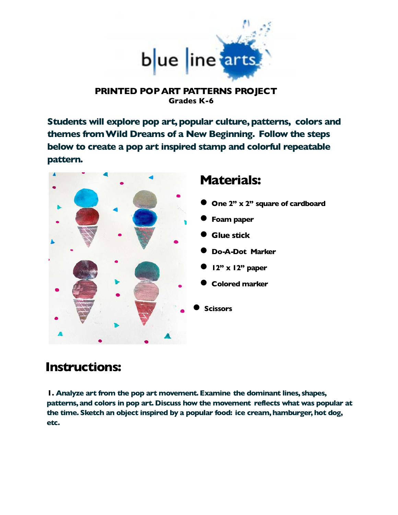

## **PRINTED POP ART PATTERNS PROJECT Grades K-6**

**Students will explore pop art, popular culture, patterns, colors and themes from Wild Dreams of a New Beginning. Follow the steps below to create a pop art inspired stamp and colorful repeatable pattern.**



## **Instructions:**

**1. Analyze art from the pop art movement. Examine the dominant lines, shapes, patterns, and colors in pop art. Discuss how the movement reflects what was popular at the time. Sketch an object inspired by a popular food: ice cream, hamburger, hot dog, etc.**